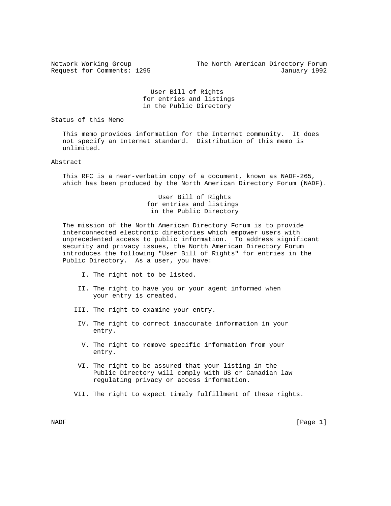Network Working Group The North American Directory Forum Request for Comments: 1295 January 1992

> User Bill of Rights for entries and listings in the Public Directory

Status of this Memo

 This memo provides information for the Internet community. It does not specify an Internet standard. Distribution of this memo is unlimited.

## Abstract

 This RFC is a near-verbatim copy of a document, known as NADF-265, which has been produced by the North American Directory Forum (NADF).

> User Bill of Rights for entries and listings in the Public Directory

 The mission of the North American Directory Forum is to provide interconnected electronic directories which empower users with unprecedented access to public information. To address significant security and privacy issues, the North American Directory Forum introduces the following "User Bill of Rights" for entries in the Public Directory. As a user, you have:

- I. The right not to be listed.
- II. The right to have you or your agent informed when your entry is created.
- III. The right to examine your entry.
- IV. The right to correct inaccurate information in your entry.
- V. The right to remove specific information from your entry.
- VI. The right to be assured that your listing in the Public Directory will comply with US or Canadian law regulating privacy or access information.
- VII. The right to expect timely fulfillment of these rights.

NADF [Page 1]